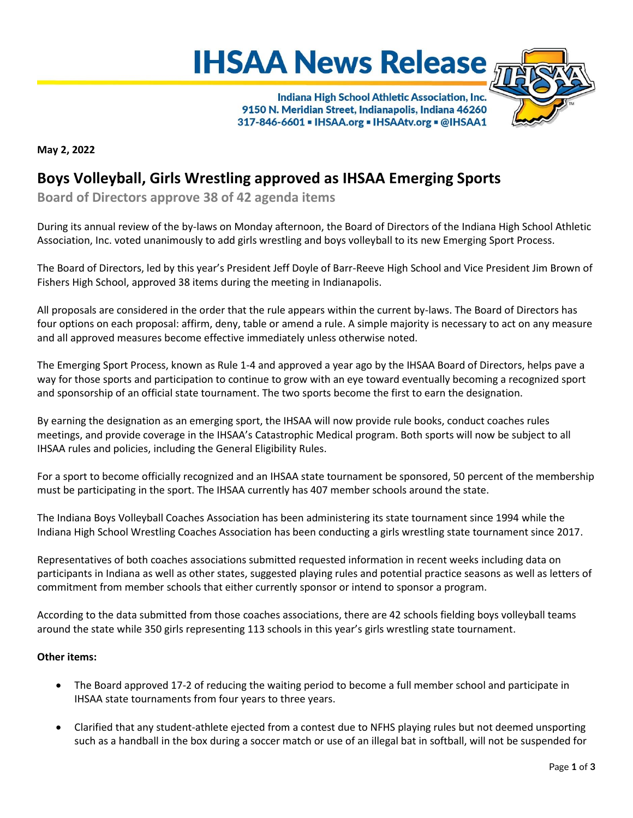



Indiana High School Athletic Association, Inc. 9150 N. Meridian Street, Indianapolis, Indiana 46260 317-846-6601 - IHSAA.org - IHSAAtv.org - @IHSAA1

**May 2, 2022**

## **Boys Volleyball, Girls Wrestling approved as IHSAA Emerging Sports**

**Board of Directors approve 38 of 42 agenda items**

During its annual review of the by-laws on Monday afternoon, the Board of Directors of the Indiana High School Athletic Association, Inc. voted unanimously to add girls wrestling and boys volleyball to its new Emerging Sport Process.

The Board of Directors, led by this year's President Jeff Doyle of Barr-Reeve High School and Vice President Jim Brown of Fishers High School, approved 38 items during the meeting in Indianapolis.

All proposals are considered in the order that the rule appears within the current by-laws. The Board of Directors has four options on each proposal: affirm, deny, table or amend a rule. A simple majority is necessary to act on any measure and all approved measures become effective immediately unless otherwise noted.

The Emerging Sport Process, known as Rule 1-4 and approved a year ago by the IHSAA Board of Directors, helps pave a way for those sports and participation to continue to grow with an eye toward eventually becoming a recognized sport and sponsorship of an official state tournament. The two sports become the first to earn the designation.

By earning the designation as an emerging sport, the IHSAA will now provide rule books, conduct coaches rules meetings, and provide coverage in the IHSAA's Catastrophic Medical program. Both sports will now be subject to all IHSAA rules and policies, including the General Eligibility Rules.

For a sport to become officially recognized and an IHSAA state tournament be sponsored, 50 percent of the membership must be participating in the sport. The IHSAA currently has 407 member schools around the state.

The Indiana Boys Volleyball Coaches Association has been administering its state tournament since 1994 while the Indiana High School Wrestling Coaches Association has been conducting a girls wrestling state tournament since 2017.

Representatives of both coaches associations submitted requested information in recent weeks including data on participants in Indiana as well as other states, suggested playing rules and potential practice seasons as well as letters of commitment from member schools that either currently sponsor or intend to sponsor a program.

According to the data submitted from those coaches associations, there are 42 schools fielding boys volleyball teams around the state while 350 girls representing 113 schools in this year's girls wrestling state tournament.

## **Other items:**

- The Board approved 17-2 of reducing the waiting period to become a full member school and participate in IHSAA state tournaments from four years to three years.
- Clarified that any student-athlete ejected from a contest due to NFHS playing rules but not deemed unsporting such as a handball in the box during a soccer match or use of an illegal bat in softball, will not be suspended for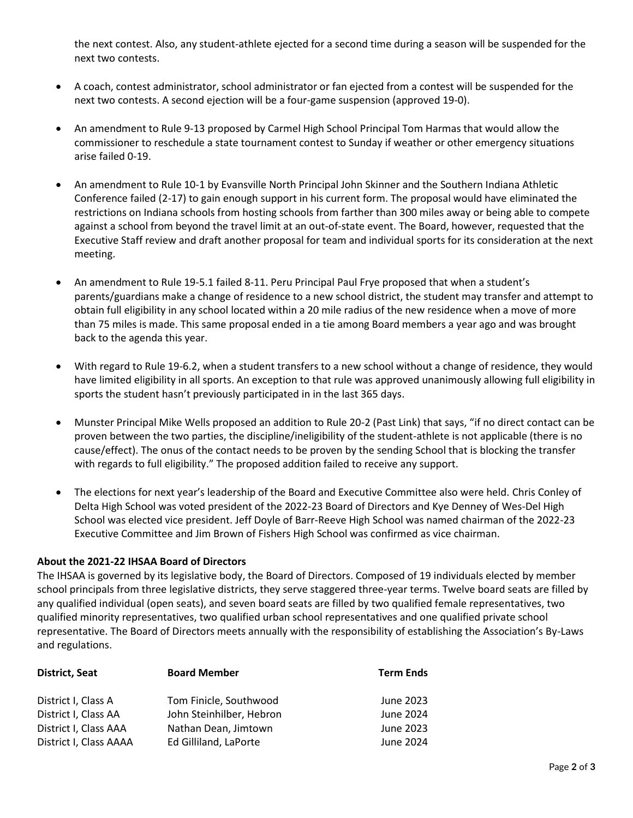the next contest. Also, any student-athlete ejected for a second time during a season will be suspended for the next two contests.

- A coach, contest administrator, school administrator or fan ejected from a contest will be suspended for the next two contests. A second ejection will be a four-game suspension (approved 19-0).
- An amendment to Rule 9-13 proposed by Carmel High School Principal Tom Harmas that would allow the commissioner to reschedule a state tournament contest to Sunday if weather or other emergency situations arise failed 0-19.
- An amendment to Rule 10-1 by Evansville North Principal John Skinner and the Southern Indiana Athletic Conference failed (2-17) to gain enough support in his current form. The proposal would have eliminated the restrictions on Indiana schools from hosting schools from farther than 300 miles away or being able to compete against a school from beyond the travel limit at an out-of-state event. The Board, however, requested that the Executive Staff review and draft another proposal for team and individual sports for its consideration at the next meeting.
- An amendment to Rule 19-5.1 failed 8-11. Peru Principal Paul Frye proposed that when a student's parents/guardians make a change of residence to a new school district, the student may transfer and attempt to obtain full eligibility in any school located within a 20 mile radius of the new residence when a move of more than 75 miles is made. This same proposal ended in a tie among Board members a year ago and was brought back to the agenda this year.
- With regard to Rule 19-6.2, when a student transfers to a new school without a change of residence, they would have limited eligibility in all sports. An exception to that rule was approved unanimously allowing full eligibility in sports the student hasn't previously participated in in the last 365 days.
- Munster Principal Mike Wells proposed an addition to Rule 20-2 (Past Link) that says, "if no direct contact can be proven between the two parties, the discipline/ineligibility of the student-athlete is not applicable (there is no cause/effect). The onus of the contact needs to be proven by the sending School that is blocking the transfer with regards to full eligibility." The proposed addition failed to receive any support.
- The elections for next year's leadership of the Board and Executive Committee also were held. Chris Conley of Delta High School was voted president of the 2022-23 Board of Directors and Kye Denney of Wes-Del High School was elected vice president. Jeff Doyle of Barr-Reeve High School was named chairman of the 2022-23 Executive Committee and Jim Brown of Fishers High School was confirmed as vice chairman.

## **About the 2021-22 IHSAA Board of Directors**

The IHSAA is governed by its legislative body, the Board of Directors. Composed of 19 individuals elected by member school principals from three legislative districts, they serve staggered three-year terms. Twelve board seats are filled by any qualified individual (open seats), and seven board seats are filled by two qualified female representatives, two qualified minority representatives, two qualified urban school representatives and one qualified private school representative. The Board of Directors meets annually with the responsibility of establishing the Association's By-Laws and regulations.

| <b>District, Seat</b>                           | <b>Board Member</b>                           | <b>Term Ends</b>       |
|-------------------------------------------------|-----------------------------------------------|------------------------|
| District I, Class A                             | Tom Finicle, Southwood                        | June 2023              |
| District I, Class AA                            | John Steinhilber, Hebron                      | June 2024              |
| District I, Class AAA<br>District I, Class AAAA | Nathan Dean, Jimtown<br>Ed Gilliland, LaPorte | June 2023<br>June 2024 |
|                                                 |                                               |                        |